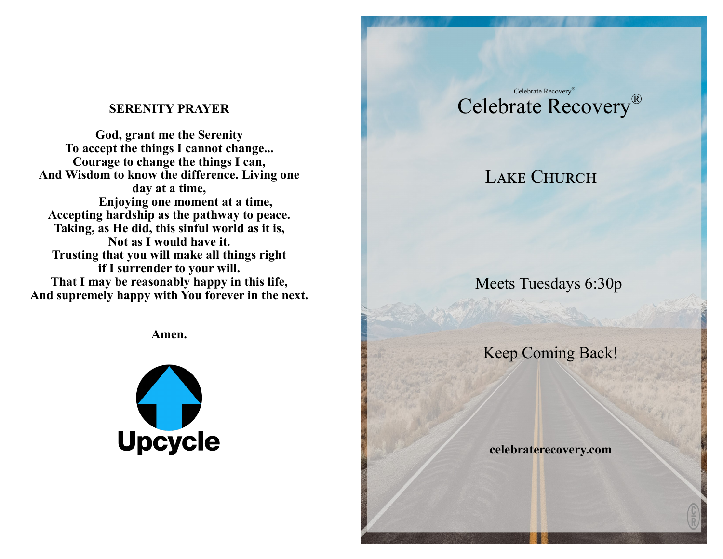#### **SERENITY PRAYER**

**God, grant me the Serenity To accept the things I cannot change... Courage to change the things I can, And Wisdom to know the difference. Living one day at a time, Enjoying one moment at a time, Accepting hardship as the pathway to peace. Taking, as He did, this sinful world as it is, Not as I would have it. Trusting that you will make all things right if I surrender to your will. That I may be reasonably happy in this life, And supremely happy with You forever in the next.**

**Amen.**



# Celebrate Recovery® Celebrate Recovery®

# LAKE CHURCH

Meets Tuesdays 6:30p

Keep Coming Back!

 **celebraterecovery.com**